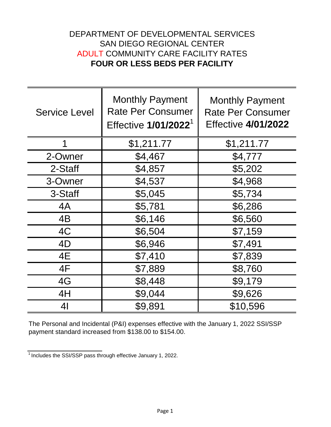## **FOUR OR LESS BEDS PER FACILITY** ADULT COMMUNITY CARE FACILITY RATES DEPARTMENT OF DEVELOPMENTAL SERVICES SAN DIEGO REGIONAL CENTER

| <b>Service Level</b> | <b>Monthly Payment</b><br><b>Rate Per Consumer</b><br>Effective 1/01/2022 <sup>1</sup> | <b>Monthly Payment</b><br><b>Rate Per Consumer</b><br><b>Effective 4/01/2022</b> |
|----------------------|----------------------------------------------------------------------------------------|----------------------------------------------------------------------------------|
| 1                    | \$1,211.77                                                                             | \$1,211.77                                                                       |
| 2-Owner              | \$4,467                                                                                | \$4,777                                                                          |
| 2-Staff              | \$4,857                                                                                | \$5,202                                                                          |
| 3-Owner              | \$4,537                                                                                | \$4,968                                                                          |
| 3-Staff              | \$5,045                                                                                | \$5,734                                                                          |
| 4A                   | \$5,781                                                                                | \$6,286                                                                          |
| 4B                   | \$6,146                                                                                | \$6,560                                                                          |
| 4C                   | \$6,504                                                                                | \$7,159                                                                          |
| 4D                   | \$6,946                                                                                | \$7,491                                                                          |
| 4E                   | \$7,410                                                                                | \$7,839                                                                          |
| 4F                   | \$7,889                                                                                | \$8,760                                                                          |
| 4G                   | \$8,448                                                                                | \$9,179                                                                          |
| 4H                   | \$9,044                                                                                | \$9,626                                                                          |
| 4 <sub>l</sub>       | \$9,891                                                                                | \$10,596                                                                         |

The Personal and Incidental (P&I) expenses effective with the January 1, 2022 SSI/SSP payment standard increased from \$138.00 to \$154.00.

 $\frac{1}{1}$  Includes the SSI/SSP pass through effective January 1, 2022.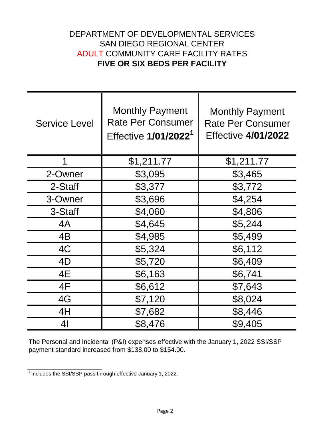## DEPARTMENT OF DEVELOPMENTAL SERVICES **FIVE OR SIX BEDS PER FACILITY** ADULT COMMUNITY CARE FACILITY RATES SAN DIEGO REGIONAL CENTER

| <b>Service Level</b> | <b>Monthly Payment</b><br><b>Rate Per Consumer</b><br>Effective 1/01/2022 <sup>1</sup> | <b>Monthly Payment</b><br><b>Rate Per Consumer</b><br><b>Effective 4/01/2022</b> |
|----------------------|----------------------------------------------------------------------------------------|----------------------------------------------------------------------------------|
| 1                    | \$1,211.77                                                                             | \$1,211.77                                                                       |
| 2-Owner              | \$3,095                                                                                | \$3,465                                                                          |
| 2-Staff              | \$3,377                                                                                | \$3,772                                                                          |
| 3-Owner              | \$3,696                                                                                | \$4,254                                                                          |
| 3-Staff              | \$4,060                                                                                | \$4,806                                                                          |
| 4A                   | \$4,645                                                                                | \$5,244                                                                          |
| 4B                   | \$4,985                                                                                | \$5,499                                                                          |
| 4C                   | \$5,324                                                                                | \$6,112                                                                          |
| 4D                   | \$5,720                                                                                | \$6,409                                                                          |
| 4E                   | \$6,163                                                                                | \$6,741                                                                          |
| 4F                   | \$6,612                                                                                | \$7,643                                                                          |
| 4G                   | \$7,120                                                                                | \$8,024                                                                          |
| 4H                   | \$7,682                                                                                | \$8,446                                                                          |
| 41                   | \$8,476                                                                                | \$9,405                                                                          |

The Personal and Incidental (P&I) expenses effective with the January 1, 2022 SSI/SSP payment standard increased from \$138.00 to \$154.00.

 $\frac{1}{1}$  Includes the SSI/SSP pass through effective January 1, 2022.